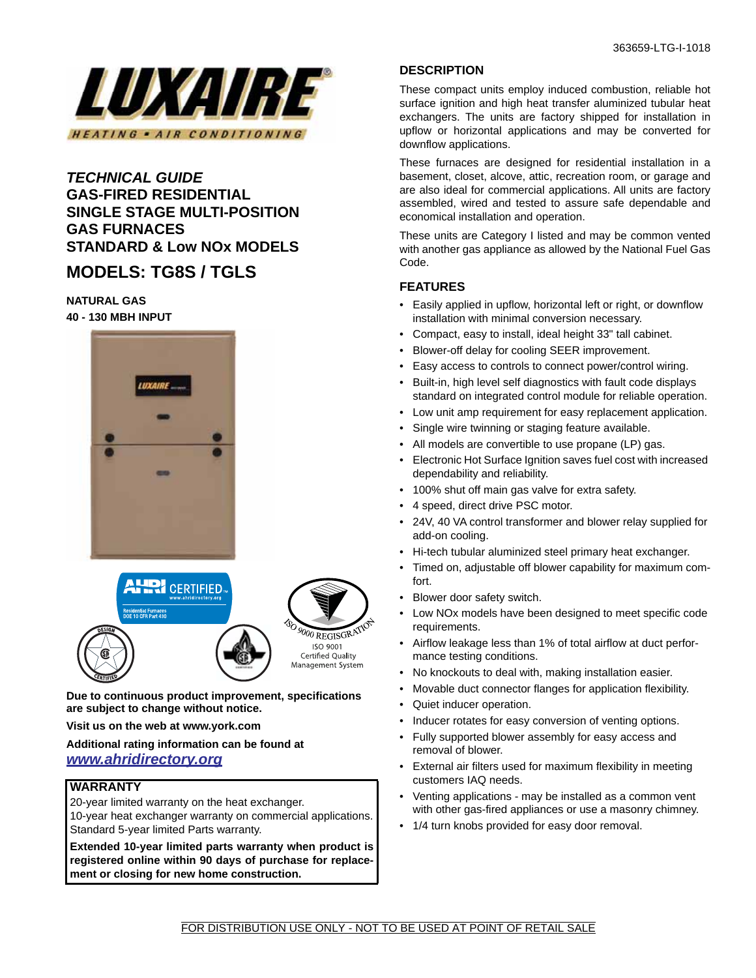

# *TECHNICAL GUIDE* **GAS-FIRED RESIDENTIAL SINGLE STAGE MULTI-POSITION GAS FURNACES STANDARD & Low NOx MODELS**

# **MODELS: TG8S / TGLS**

# **NATURAL GAS**

**40 - 130 MBH INPUT**





**Due to continuous product improvement, specifications are subject to change without notice.**

**Visit us on the web at www.york.com**

### **Additional rating information can be found at**  *www.ahridirectory.org*

#### **WARRANTY**

20-year limited warranty on the heat exchanger. 10-year heat exchanger warranty on commercial applications. Standard 5-year limited Parts warranty.

**Extended 10-year limited parts warranty when product is registered online within 90 days of purchase for replacement or closing for new home construction.**

# **DESCRIPTION**

These compact units employ induced combustion, reliable hot surface ignition and high heat transfer aluminized tubular heat exchangers. The units are factory shipped for installation in upflow or horizontal applications and may be converted for downflow applications.

These furnaces are designed for residential installation in a basement, closet, alcove, attic, recreation room, or garage and are also ideal for commercial applications. All units are factory assembled, wired and tested to assure safe dependable and economical installation and operation.

These units are Category I listed and may be common vented with another gas appliance as allowed by the National Fuel Gas Code.

# **FEATURES**

- Easily applied in upflow, horizontal left or right, or downflow installation with minimal conversion necessary.
- Compact, easy to install, ideal height 33" tall cabinet.
- Blower-off delay for cooling SEER improvement.
- Easy access to controls to connect power/control wiring.
- Built-in, high level self diagnostics with fault code displays standard on integrated control module for reliable operation.
- Low unit amp requirement for easy replacement application.
- Single wire twinning or staging feature available.
- All models are convertible to use propane (LP) gas.
- Electronic Hot Surface Ignition saves fuel cost with increased dependability and reliability.
- 100% shut off main gas valve for extra safety.
- 4 speed, direct drive PSC motor.
- 24V, 40 VA control transformer and blower relay supplied for add-on cooling.
- Hi-tech tubular aluminized steel primary heat exchanger.
- Timed on, adjustable off blower capability for maximum comfort.
- Blower door safety switch.
- Low NOx models have been designed to meet specific code requirements.
- Airflow leakage less than 1% of total airflow at duct performance testing conditions.
- No knockouts to deal with, making installation easier.
- Movable duct connector flanges for application flexibility.
- Quiet inducer operation.
- Inducer rotates for easy conversion of venting options.
- Fully supported blower assembly for easy access and removal of blower.
- External air filters used for maximum flexibility in meeting customers IAQ needs.
- Venting applications may be installed as a common vent with other gas-fired appliances or use a masonry chimney.
- 1/4 turn knobs provided for easy door removal.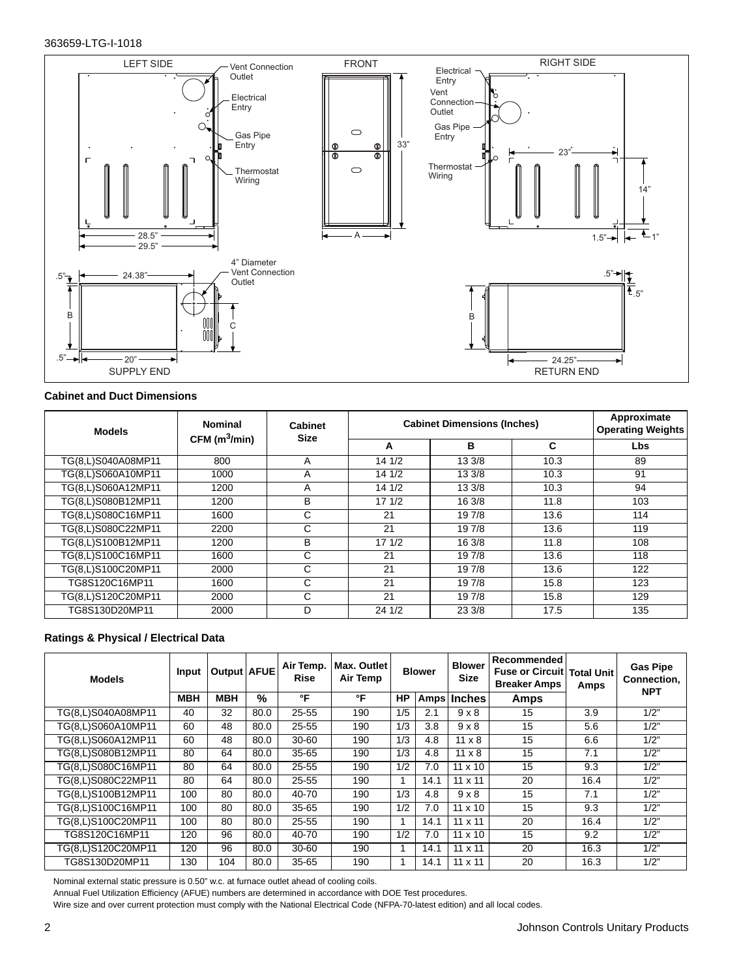#### 363659-LTG-I-1018



#### **Cabinet and Duct Dimensions**

| <b>Models</b>      | <b>Nominal</b>              | <b>Cabinet</b><br><b>Size</b> | <b>Cabinet Dimensions (Inches)</b> | Approximate<br><b>Operating Weights</b> |      |     |
|--------------------|-----------------------------|-------------------------------|------------------------------------|-----------------------------------------|------|-----|
|                    | $CFM$ (m <sup>3</sup> /min) |                               | A                                  | в                                       | C    | Lbs |
| TG(8,L)S040A08MP11 | 800                         | A                             | 141/2                              | 13 3/8                                  | 10.3 | 89  |
| TG(8,L)S060A10MP11 | 1000                        | A                             | 141/2                              | 13 3/8                                  | 10.3 | 91  |
| TG(8,L)S060A12MP11 | 1200                        | A                             | 141/2                              | 13 3/8                                  | 10.3 | 94  |
| TG(8,L)S080B12MP11 | 1200                        | B                             | 171/2                              | 16 3/8                                  | 11.8 | 103 |
| TG(8,L)S080C16MP11 | 1600                        | C                             | 21                                 | 19 7/8                                  | 13.6 | 114 |
| TG(8,L)S080C22MP11 | 2200                        | С                             | 21                                 | 19 7/8                                  | 13.6 | 119 |
| TG(8,L)S100B12MP11 | 1200                        | B                             | 171/2                              | 16 3/8                                  | 11.8 | 108 |
| TG(8,L)S100C16MP11 | 1600                        | C                             | 21                                 | 19 7/8                                  | 13.6 | 118 |
| TG(8,L)S100C20MP11 | 2000                        | C                             | 21                                 | 19 7/8                                  | 13.6 | 122 |
| TG8S120C16MP11     | 1600                        | C                             | 21                                 | 19 7/8                                  | 15.8 | 123 |
| TG(8,L)S120C20MP11 | 2000                        | C                             | 21                                 | 197/8                                   | 15.8 | 129 |
| TG8S130D20MP11     | 2000                        | D                             | 241/2                              | 23 3/8                                  | 17.5 | 135 |

#### **Ratings & Physical / Electrical Data**

| <b>Models</b>      | Input      | Output   AFUE |      | Air Temp.<br><b>Rise</b> | Max. Outlet<br>Air Temp |     | <b>Blower</b> | <b>Blower</b><br><b>Size</b> | Recommended<br>Fuse or Circuit   Total Unit<br><b>Breaker Amps</b> | Amps | <b>Gas Pipe</b><br>Connection,<br><b>NPT</b> |  |
|--------------------|------------|---------------|------|--------------------------|-------------------------|-----|---------------|------------------------------|--------------------------------------------------------------------|------|----------------------------------------------|--|
|                    | <b>MBH</b> | <b>MBH</b>    | %    | °F                       | °F                      | HP  |               | Amps   Inches                | Amps                                                               |      |                                              |  |
| TG(8,L)S040A08MP11 | 40         | 32            | 80.0 | 25-55                    | 190                     | 1/5 | 2.1           | $9 \times 8$                 | 15                                                                 | 3.9  | 1/2"                                         |  |
| TG(8,L)S060A10MP11 | 60         | 48            | 80.0 | 25-55                    | 190                     | 1/3 | 3.8           | $9 \times 8$                 | 15                                                                 | 5.6  | 1/2"                                         |  |
| TG(8,L)S060A12MP11 | 60         | 48            | 80.0 | $30 - 60$                | 190                     | 1/3 | 4.8           | $11 \times 8$                | 15                                                                 | 6.6  | 1/2"                                         |  |
| TG(8,L)S080B12MP11 | 80         | 64            | 80.0 | 35-65                    | 190                     | 1/3 | 4.8           | $11 \times 8$                | 15                                                                 | 7.1  | 1/2"                                         |  |
| TG(8,L)S080C16MP11 | 80         | 64            | 80.0 | $25 - 55$                | 190                     | 1/2 | 7.0           | $11 \times 10$               | 15                                                                 | 9.3  | 1/2"                                         |  |
| TG(8,L)S080C22MP11 | 80         | 64            | 80.0 | 25-55                    | 190                     |     | 14.1          | $11 \times 11$               | 20                                                                 | 16.4 | 1/2"                                         |  |
| TG(8,L)S100B12MP11 | 100        | 80            | 80.0 | 40-70                    | 190                     | 1/3 | 4.8           | $9 \times 8$                 | 15                                                                 | 7.1  | 1/2"                                         |  |
| TG(8,L)S100C16MP11 | 100        | 80            | 80.0 | $35 - 65$                | 190                     | 1/2 | 7.0           | $11 \times 10$               | 15                                                                 | 9.3  | 1/2"                                         |  |
| TG(8,L)S100C20MP11 | 100        | 80            | 80.0 | $25 - 55$                | 190                     |     | 14.1          | $11 \times 11$               | 20                                                                 | 16.4 | 1/2"                                         |  |
| TG8S120C16MP11     | 120        | 96            | 80.0 | 40-70                    | 190                     | 1/2 | 7.0           | $11 \times 10$               | 15                                                                 | 9.2  | 1/2"                                         |  |
| TG(8,L)S120C20MP11 | 120        | 96            | 80.0 | $30 - 60$                | 190                     |     | 14.1          | $11 \times 11$               | 20                                                                 | 16.3 | 1/2"                                         |  |
| TG8S130D20MP11     | 130        | 104           | 80.0 | $35 - 65$                | 190                     |     | 14.1          | $11 \times 11$               | 20                                                                 | 16.3 | 1/2"                                         |  |

Nominal external static pressure is 0.50" w.c. at furnace outlet ahead of cooling coils.

Annual Fuel Utilization Efficiency (AFUE) numbers are determined in accordance with DOE Test procedures.

Wire size and over current protection must comply with the National Electrical Code (NFPA-70-latest edition) and all local codes.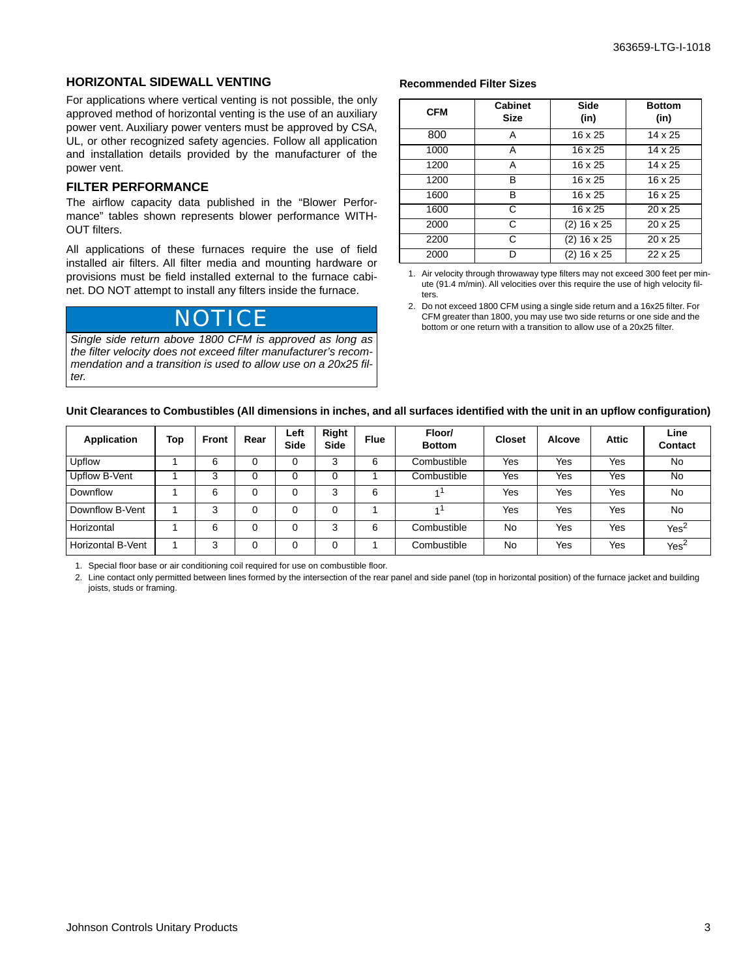#### **HORIZONTAL SIDEWALL VENTING**

For applications where vertical venting is not possible, the only approved method of horizontal venting is the use of an auxiliary power vent. Auxiliary power venters must be approved by CSA, UL, or other recognized safety agencies. Follow all application and installation details provided by the manufacturer of the power vent.

#### **FILTER PERFORMANCE**

The airflow capacity data published in the "Blower Performance" tables shown represents blower performance WITH-OUT filters.

All applications of these furnaces require the use of field installed air filters. All filter media and mounting hardware or provisions must be field installed external to the furnace cabinet. DO NOT attempt to install any filters inside the furnace.

*Single side return above 1800 CFM is approved as long as the filter velocity does not exceed filter manufacturer's recommendation and a transition is used to allow use on a 20x25 filter.*

#### **Recommended Filter Sizes**

| <b>CFM</b> | <b>Cabinet</b><br><b>Size</b> | Side<br>(in)   | <b>Bottom</b><br>(in) |
|------------|-------------------------------|----------------|-----------------------|
| 800        | A                             | 16 x 25        | 14 x 25               |
| 1000       | А                             | 16 x 25        | 14 x 25               |
| 1200       | A                             | 16 x 25        | 14 x 25               |
| 1200       | в                             | 16 x 25        | $16 \times 25$        |
| 1600       | в                             | 16 x 25        | 16 x 25               |
| 1600       | C                             | $16 \times 25$ | $20 \times 25$        |
| 2000       | C                             | $(2)$ 16 x 25  | $20 \times 25$        |
| 2200       | C                             | $(2)$ 16 x 25  | $20 \times 25$        |
| 2000       |                               | $(2)$ 16 x 25  | 22 x 25               |

1. Air velocity through throwaway type filters may not exceed 300 feet per minute (91.4 m/min). All velocities over this require the use of high velocity filters.

2. Do not exceed 1800 CFM using a single side return and a 16x25 filter. For CFM greater than 1800, you may use two side returns or one side and the bottom or one return with a transition to allow use of a 20x25 filter.

#### **Unit Clearances to Combustibles (All dimensions in inches, and all surfaces identified with the unit in an upflow configuration)**

| Application       | Top | <b>Front</b> | Rear | Left<br>Side | Right<br><b>Side</b> | <b>Flue</b> | Floor/<br><b>Bottom</b> | <b>Closet</b> | Alcove | Attic | Line<br><b>Contact</b> |
|-------------------|-----|--------------|------|--------------|----------------------|-------------|-------------------------|---------------|--------|-------|------------------------|
| Upflow            |     | 6            |      | 0            | 3                    | 6           | Combustible             | Yes           | Yes    | Yes   | No                     |
| Upflow B-Vent     |     | 3            |      | 0            |                      |             | Combustible             | Yes           | Yes    | Yes   | No                     |
| Downflow          |     | 6            |      | 0            | 3                    | 6           |                         | Yes           | Yes    | Yes   | No                     |
| Downflow B-Vent   |     | 3            |      | 0            | 0                    |             |                         | Yes           | Yes    | Yes   | No                     |
| Horizontal        |     | 6            |      | 0            | 3                    | 6           | Combustible             | No            | Yes    | Yes   | Yes <sup>2</sup>       |
| Horizontal B-Vent |     | 3            | 0    | 0            | 0                    |             | Combustible             | No            | Yes    | Yes   | Yes <sup>2</sup>       |

1. Special floor base or air conditioning coil required for use on combustible floor.

2. Line contact only permitted between lines formed by the intersection of the rear panel and side panel (top in horizontal position) of the furnace jacket and building joists, studs or framing.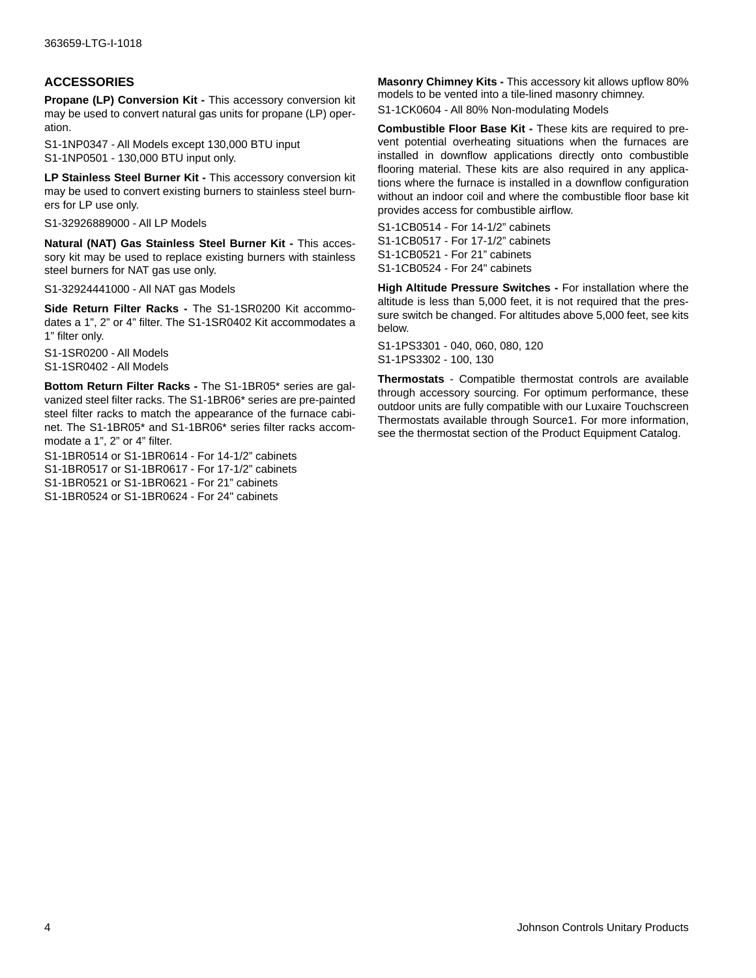### **ACCESSORIES**

**Propane (LP) Conversion Kit - This accessory conversion kit** may be used to convert natural gas units for propane (LP) operation.

S1-1NP0347 - All Models except 130,000 BTU input S1-1NP0501 - 130,000 BTU input only.

**LP Stainless Steel Burner Kit -** This accessory conversion kit may be used to convert existing burners to stainless steel burners for LP use only.

S1-32926889000 - All LP Models

**Natural (NAT) Gas Stainless Steel Burner Kit - This acces**sory kit may be used to replace existing burners with stainless steel burners for NAT gas use only.

S1-32924441000 - All NAT gas Models

**Side Return Filter Racks -** The S1-1SR0200 Kit accommodates a 1", 2" or 4" filter. The S1-1SR0402 Kit accommodates a 1" filter only.

S1-1SR0200 - All Models S1-1SR0402 - All Models

**Bottom Return Filter Racks -** The S1-1BR05\* series are galvanized steel filter racks. The S1-1BR06\* series are pre-painted steel filter racks to match the appearance of the furnace cabinet. The S1-1BR05\* and S1-1BR06\* series filter racks accommodate a 1", 2" or 4" filter.

S1-1BR0514 or S1-1BR0614 - For 14-1/2" cabinets S1-1BR0517 or S1-1BR0617 - For 17-1/2" cabinets S1-1BR0521 or S1-1BR0621 - For 21" cabinets

S1-1BR0524 or S1-1BR0624 - For 24" cabinets

**Masonry Chimney Kits -** This accessory kit allows upflow 80% models to be vented into a tile-lined masonry chimney.

S1-1CK0604 - All 80% Non-modulating Models

**Combustible Floor Base Kit -** These kits are required to prevent potential overheating situations when the furnaces are installed in downflow applications directly onto combustible flooring material. These kits are also required in any applications where the furnace is installed in a downflow configuration without an indoor coil and where the combustible floor base kit provides access for combustible airflow.

S1-1CB0514 - For 14-1/2" cabinets S1-1CB0517 - For 17-1/2" cabinets S1-1CB0521 - For 21" cabinets S1-1CB0524 - For 24" cabinets

**High Altitude Pressure Switches -** For installation where the altitude is less than 5,000 feet, it is not required that the pressure switch be changed. For altitudes above 5,000 feet, see kits below.

S1-1PS3301 - 040, 060, 080, 120 S1-1PS3302 - 100, 130

**Thermostats** - Compatible thermostat controls are available through accessory sourcing. For optimum performance, these outdoor units are fully compatible with our Luxaire Touchscreen Thermostats available through Source1. For more information, see the thermostat section of the Product Equipment Catalog.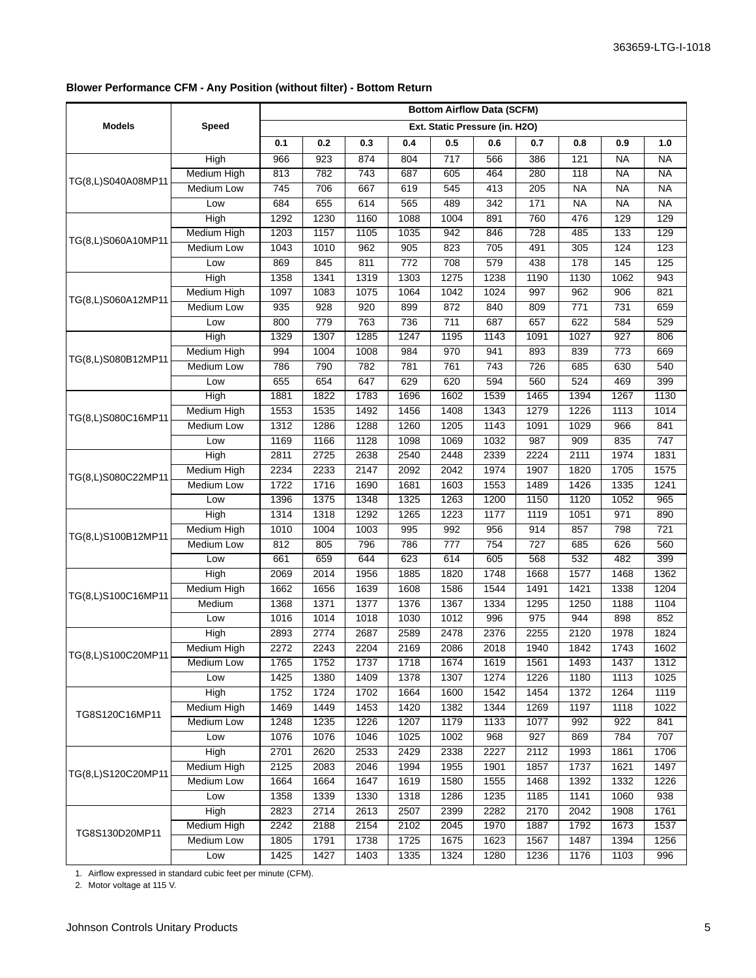# **Blower Performance CFM - Any Position (without filter) - Bottom Return**

|                    |                    | <b>Bottom Airflow Data (SCFM)</b> |      |                  |                  |                  |                  |                  |                  |                   |                  |  |  |  |
|--------------------|--------------------|-----------------------------------|------|------------------|------------------|------------------|------------------|------------------|------------------|-------------------|------------------|--|--|--|
| <b>Models</b>      | Speed              | Ext. Static Pressure (in. H2O)    |      |                  |                  |                  |                  |                  |                  |                   |                  |  |  |  |
|                    |                    | 0.1                               | 0.2  | 0.3              | 0.4              | 0.5              | 0.6              | 0.7              | 0.8              | 0.9               | 1.0              |  |  |  |
|                    | High               | 966                               | 923  | 874              | 804              | $\overline{717}$ | 566              | 386              | 121              | <b>NA</b>         | <b>NA</b>        |  |  |  |
| TG(8,L)S040A08MP11 | <b>Medium High</b> | 813                               | 782  | 743              | 687              | 605              | 464              | 280              | 118              | <b>NA</b>         | <b>NA</b>        |  |  |  |
|                    | <b>Medium Low</b>  | 745                               | 706  | 667              | 619              | $\overline{545}$ | 413              | $\overline{205}$ | $\overline{NA}$  | <b>NA</b>         | <b>NA</b>        |  |  |  |
|                    | Low                | 684                               | 655  | 614              | 565              | 489              | 342              | $\overline{171}$ | <b>NA</b>        | <b>NA</b>         | <b>NA</b>        |  |  |  |
|                    | High               | 1292                              | 1230 | 1160             | 1088             | 1004             | 891              | 760              | 476              | 129               | 129              |  |  |  |
| TG(8,L)S060A10MP11 | <b>Medium High</b> | 1203                              | 1157 | 1105             | 1035             | 942              | 846              | 728              | 485              | $\overline{133}$  | 129              |  |  |  |
|                    | <b>Medium Low</b>  | 1043                              | 1010 | $\overline{962}$ | $\overline{905}$ | 823              | 705              | 491              | 305              | 124               | 123              |  |  |  |
|                    | Low                | 869                               | 845  | 811              | $\overline{772}$ | 708              | 579              | 438              | 178              | $\frac{145}{145}$ | 125              |  |  |  |
|                    | High               | 1358                              | 1341 | 1319             | 1303             | 1275             | 1238             | 1190             | 1130             | 1062              | 943              |  |  |  |
| TG(8,L)S060A12MP11 | <b>Medium High</b> | 1097                              | 1083 | 1075             | 1064             | 1042             | 1024             | 997              | 962              | 906               | 821              |  |  |  |
|                    | <b>Medium Low</b>  | 935                               | 928  | $\overline{920}$ | 899              | 872              | 840              | 809              | $\overline{771}$ | 731               | 659              |  |  |  |
|                    | Low                | 800                               | 779  | 763              | 736              | $\overline{711}$ | 687              | 657              | 622              | 584               | 529              |  |  |  |
|                    | High               | 1329                              | 1307 | 1285             | 1247             | 1195             | 1143             | 1091             | 1027             | 927               | 806              |  |  |  |
| TG(8,L)S080B12MP11 | <b>Medium High</b> | 994                               | 1004 | 1008             | 984              | 970              | 941              | 893              | 839              | 773               | 669              |  |  |  |
|                    | <b>Medium Low</b>  | 786                               | 790  | 782              | 781              | 761              | 743              | 726              | 685              | 630               | 540              |  |  |  |
|                    | Low                | 655                               | 654  | 647              | 629              | 620              | 594              | 560              | 524              | 469               | 399              |  |  |  |
|                    | High               | 1881                              | 1822 | 1783             | 1696             | 1602             | 1539             | 1465             | 1394             | 1267              | 1130             |  |  |  |
|                    | <b>Medium High</b> | 1553                              | 1535 | 1492             | 1456             | 1408             | 1343             | 1279             | 1226             | 1113              | $\frac{1014}{x}$ |  |  |  |
| TG(8,L)S080C16MP11 | <b>Medium Low</b>  | 1312                              | 1286 | 1288             | 1260             | 1205             | 1143             | 1091             | 1029             | 966               | 841              |  |  |  |
|                    | Low                | 1169                              | 1166 | 1128             | 1098             | 1069             | 1032             | 987              | 909              | 835               | $\overline{747}$ |  |  |  |
| TG(8,L)S080C22MP11 | High               | 2811                              | 2725 | 2638             | 2540             | 2448             | 2339             | 2224             | 2111             | 1974              | 1831             |  |  |  |
|                    | <b>Medium High</b> | 2234                              | 2233 | 2147             | 2092             | 2042             | 1974             | 1907             | 1820             | 1705              | 1575             |  |  |  |
|                    | <b>Medium Low</b>  | 1722                              | 1716 | 1690             | 1681             | 1603             | 1553             | 1489             | 1426             | 1335              | 1241             |  |  |  |
|                    | Low                | 1396                              | 1375 | 1348             | 1325             | 1263             | 1200             | 1150             | 1120             | 1052              | 965              |  |  |  |
|                    | High               | 1314                              | 1318 | 1292             | 1265             | 1223             | 1177             | 1119             | 1051             | 971               | 890              |  |  |  |
|                    | <b>Medium High</b> | 1010                              | 1004 | 1003             | 995              | 992              | 956              | 914              | 857              | 798               | 721              |  |  |  |
| TG(8,L)S100B12MP11 | Medium Low         | 812                               | 805  | 796              | 786              | $\overline{777}$ | $\overline{754}$ | $\overline{727}$ | 685              | 626               | 560              |  |  |  |
|                    | Low                | 661                               | 659  | 644              | 623              | 614              | 605              | 568              | 532              | 482               | 399              |  |  |  |
|                    | High               | 2069                              | 2014 | 1956             | 1885             | 1820             | 1748             | 1668             | 1577             | 1468              | 1362             |  |  |  |
| TG(8,L)S100C16MP11 | <b>Medium High</b> | 1662                              | 1656 | 1639             | 1608             | 1586             | 1544             | 1491             | 1421             | 1338              | 1204             |  |  |  |
|                    | Medium             | 1368                              | 1371 | 1377             | 1376             | 1367             | 1334             | 1295             | 1250             | 1188              | 1104             |  |  |  |
|                    | Low                | 1016                              | 1014 | 1018             | 1030             | $\frac{1012}{2}$ | 996              | 975              | 944              | 898               | 852              |  |  |  |
|                    | High               | 2893                              | 2774 | 2687             | 2589             | 2478             | 2376             | 2255             | 2120             | 1978              | 1824             |  |  |  |
| TG(8,L)S100C20MP11 | Medium High        | 2272                              | 2243 | 2204             | 2169             | 2086             | 2018             | 1940             | 1842             | 1743              | 1602             |  |  |  |
|                    | Medium Low         | 1765                              | 1752 | 1737             | 1718             | 1674             | 1619             | 1561             | 1493             | 1437              | 1312             |  |  |  |
|                    | Low                | 1425                              | 1380 | 1409             | 1378             | 1307             | 1274             | 1226             | 1180             | 1113              | 1025             |  |  |  |
|                    | <b>High</b>        | 1752                              | 1724 | 1702             | 1664             | 1600             | 1542             | 1454             | 1372             | 1264              | 1119             |  |  |  |
| TG8S120C16MP11     | <b>Medium High</b> | 1469                              | 1449 | 1453             | 1420             | 1382             | 1344             | 1269             | 1197             | 1118              | 1022             |  |  |  |
|                    | <b>Medium Low</b>  | 1248                              | 1235 | 1226             | 1207             | 1179             | 1133             | 1077             | 992              | 922               | 841              |  |  |  |
|                    | Low                | 1076                              | 1076 | 1046             | 1025             | $\frac{1002}{2}$ | 968              | 927              | 869              | 784               | 707              |  |  |  |
|                    | <b>High</b>        | 2701                              | 2620 | 2533             | 2429             | 2338             | 2227             | 2112             | 1993             | 1861              | 1706             |  |  |  |
| TG(8,L)S120C20MP11 | <b>Medium High</b> | 2125                              | 2083 | 2046             | 1994             | 1955             | 1901             | 1857             | 1737             | 1621              | 1497             |  |  |  |
|                    | <b>Medium Low</b>  | 1664                              | 1664 | 1647             | 1619             | 1580             | 1555             | 1468             | 1392             | 1332              | 1226             |  |  |  |
|                    | Low                | 1358                              | 1339 | 1330             | 1318             | 1286             | 1235             | 1185             | 1141             | 1060              | 938              |  |  |  |
|                    | <b>High</b>        | 2823                              | 2714 | 2613             | 2507             | 2399             | 2282             | 2170             | 2042             | 1908              | 1761             |  |  |  |
| TG8S130D20MP11     | <b>Medium High</b> | 2242                              | 2188 | 2154             | 2102             | 2045             | 1970             | 1887             | 1792             | 1673              | 1537             |  |  |  |
|                    | <b>Medium Low</b>  | 1805                              | 1791 | 1738             | 1725             | 1675             | 1623             | 1567             | 1487             | 1394              | 1256             |  |  |  |
|                    | Low                | 1425                              | 1427 | 1403             | 1335             | 1324             | 1280             | 1236             | 1176             | 1103              | 996              |  |  |  |

1. Airflow expressed in standard cubic feet per minute (CFM).

2. Motor voltage at 115 V.